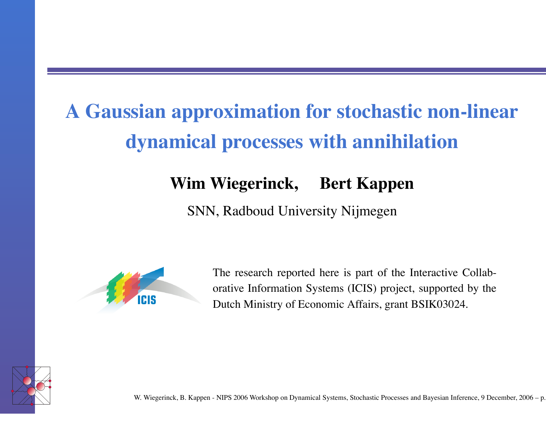# **A Gaussian approximation fo r stochastic non-linear dynamical processes with annihilation**

#### **W i m Wiegerinck, Bert Kappen**

SNN, Radboud Uni versity Nijmegen



The research reported here is part of the Interactive Collaborati v e Information Systems (ICIS) project, supported by the Dutch Ministry of Economic Affairs, grant BSIK03024.

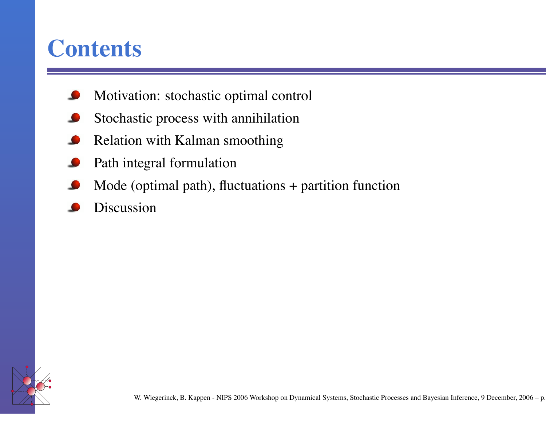#### **Contents**

- Moti vation: stochastic optimal control
- Stochastic process with annihilation
- Relation with Kalman smoothing
- Path integral formulation
- Mode (optimal path), fluctuations + partition function
- Discussion

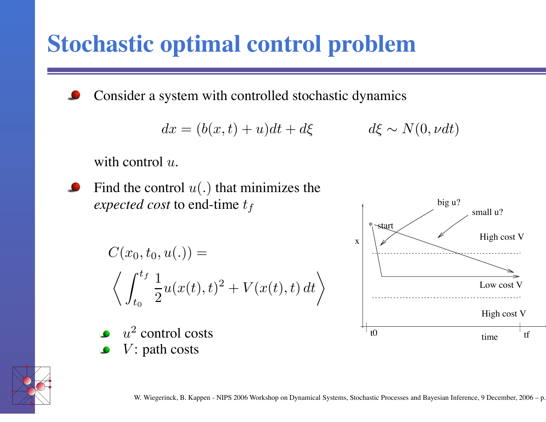### **Stochastic optimal control problem**

Consider a system with controlled stochastic dynamics

$$
dx = (b(x, t) + u)dt + d\xi \qquad d\xi \sim N(0, \nu dt)
$$

with control  $u$ .



Find the control  $u(.)$  that minimizes the *expected cost* to end-time t f

$$
C(x_0, t_0, u(.) =
$$
  

$$
\left\langle \int_{t_0}^{t_f} \frac{1}{2} u(x(t), t)^2 + V(x(t), t) dt \right\rangle
$$

- $u^2$  control costs
- $V:$  path costs



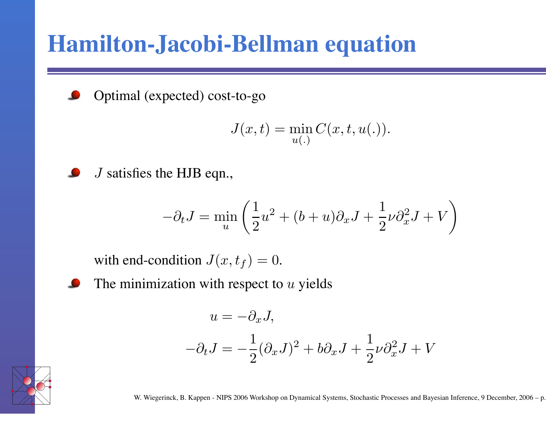#### **Hamilton-Jacobi-Bellman equation**



Optimal (expected) cost-to-go

$$
J(x,t) = \min_{u(.)} C(x,t,u(.)).
$$



J satis fies the HJB eqn.,

$$
-\partial_t J = \min_u \left( \frac{1}{2} u^2 + (b+u)\partial_x J + \frac{1}{2} \nu \partial_x^2 J + V \right)
$$

with end-condition  $J(x, t_f) = 0$ .



$$
u = -\partial_x J,
$$
  

$$
-\partial_t J = -\frac{1}{2}(\partial_x J)^2 + b\partial_x J + \frac{1}{2}\nu \partial_x^2 J + V
$$

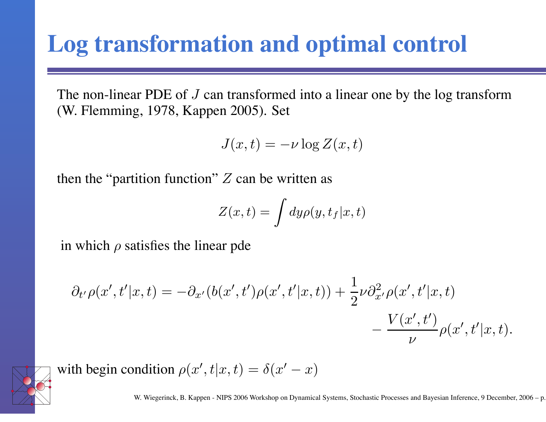#### **Log transformation and optimal control**

The non-linear PDE of  $J$  can transformed into a linear one by the log transform (W. Flemming, 1978, Kappen 2005). Set

$$
J(x,t) = -\nu \log Z(x,t)
$$

then the "partition function"  $Z$  can be written as

$$
Z(x,t) = \int dy \rho(y, t_f | x, t)
$$

in which  $\rho$  satisfies the linear pde

$$
\partial_{t'}\rho(x',t'|x,t) = -\partial_{x'}(b(x',t')\rho(x',t'|x,t)) + \frac{1}{2}\nu \partial_{x'}^2 \rho(x',t'|x,t) - \frac{V(x',t')}{\nu}\rho(x',t'|x,t).
$$



with begin condition  $\rho(x', t|x, t) = \delta(x' - x)$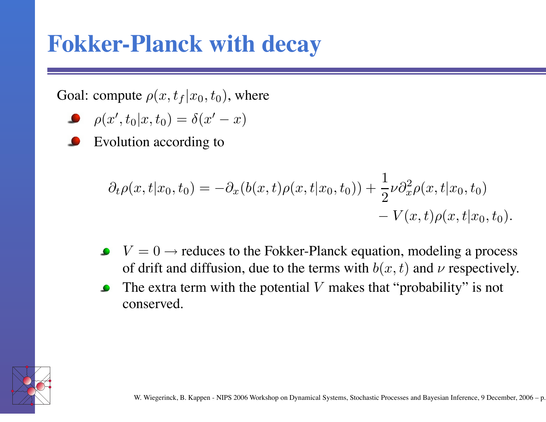#### **Fokker-Planck with decay**

Goal: compute  $\rho(x, t_f | x_0, t_0)$ , where

$$
\bullet \quad \rho(x',t_0|x,t_0)=\delta(x'-x)
$$

Evolution according to

$$
\partial_t \rho(x, t | x_0, t_0) = -\partial_x (b(x, t) \rho(x, t | x_0, t_0)) + \frac{1}{2} \nu \partial_x^2 \rho(x, t | x_0, t_0) - V(x, t) \rho(x, t | x_0, t_0).
$$

- $V = 0 \rightarrow$  reduces to the Fokker-Planck equation, modeling a process of drift and diffusion, due to the terms with  $b(x, t)$  and  $\nu$  respectively.
- The extra term with the potential  $V$  makes that "probability" is not  $\bullet$ conserved.

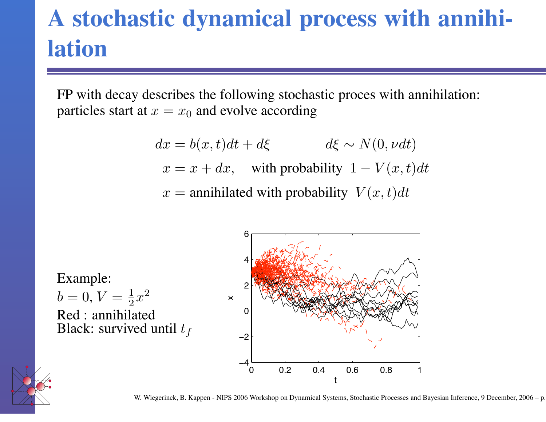# **A stochastic dynamical process with annihilation**

FP with decay describes the following stochastic proces with annihilation: particles start at  $x = x_0$  and evolve according

$$
dx = b(x, t)dt + d\xi \qquad d\xi \sim N(0, \nu dt)
$$

$$
x = x + dx, \quad \text{with probability } 1 - V(x, t)dt
$$

$$
x = annihilated \text{ with probability } V(x, t)dt
$$

Example:  $b = 0, V = \frac{1}{2}$  $rac{1}{2}x^2$ Red : annihilated Black: survived until  $t_f$ 





W. Wiegerinck, B. Kappen - NIPS 2006 Workshop on Dynamical Systems, Stochastic Processes and Bayesian Inference, 9 December, 2006 - p.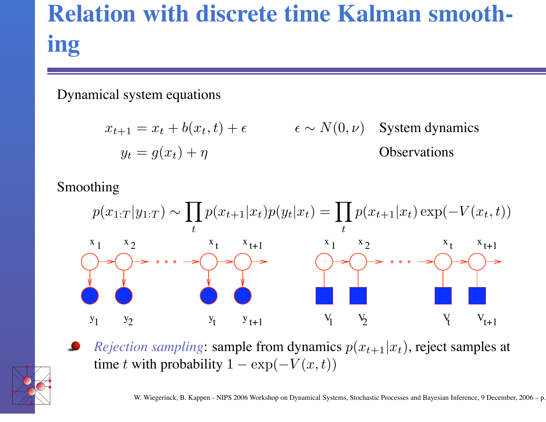# **Relation with discrete time Kalman smoothing**

Dynamical system equations

$$
x_{t+1} = x_t + b(x_t, t) + \epsilon \qquad \epsilon \sim N(0, \nu) \quad \text{System dynamics}
$$
  

$$
y_t = g(x_t) + \eta \qquad \text{Observations}
$$

Smoothing



*Rejection sampling*: sample from dynamics  $p(x_{t+1}|x_t)$ , reject samples at time t with probability  $1 - \exp(-V(x,t))$ 

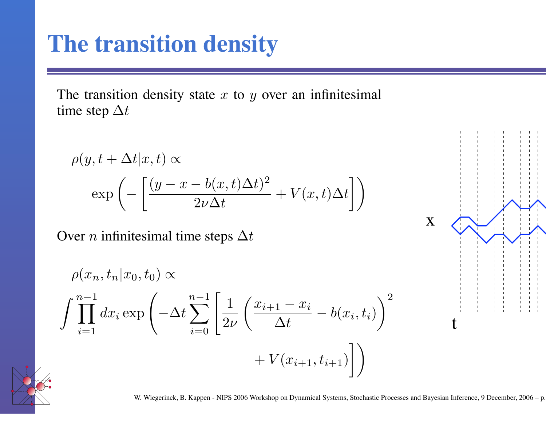#### **The transition density**

The transition density state  $x$  to  $y$  over an infinitesimal time step  $\Delta t$ 

$$
\rho(y, t + \Delta t | x, t) \propto
$$
  
exp $\left(-\left[\frac{(y - x - b(x, t)\Delta t)^2}{2\nu \Delta t} + V(x, t)\Delta t\right]\right)$ 

Over *n* infinitesimal time steps  $\Delta t$ 

$$
\rho(x_n, t_n | x_0, t_0) \propto
$$
\n
$$
\int \prod_{i=1}^{n-1} dx_i \exp\left(-\Delta t \sum_{i=0}^{n-1} \left[ \frac{1}{2\nu} \left( \frac{x_{i+1} - x_i}{\Delta t} - b(x_i, t_i) \right)^2 + V(x_{i+1}, t_{i+1}) \right] \right)
$$



W. Wiegerinck, B. Kappen - NIPS 2006 Workshop on Dynamical Systems, Stochastic Processes and Bayesian Inference, 9 December, 2006 - p.

x

t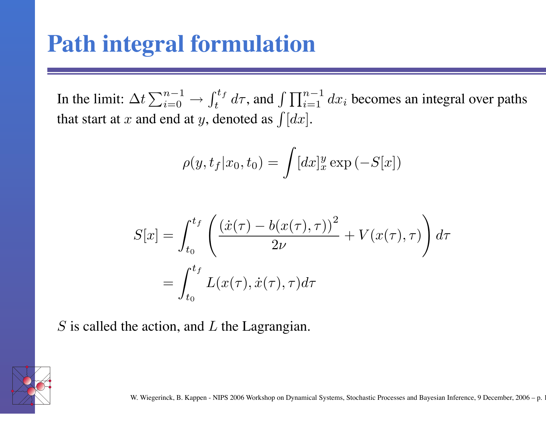#### **Path integral formulation**

In the limit:  $\Delta t \sum_{i=0}^{n-1}$  $i=0$   $\longrightarrow$  $\int_{a}^{t} f$ <sup>ttf</sup> d $\tau$ , and  $\int \prod_{i=1}^{n-1}$  $\sum_{i=1}^{n-1} dx_i$  becomes an integral over paths that start at x and end at y, denoted as  $\int [dx]$ .

$$
\rho(y, t_f | x_0, t_0) = \int [dx]_x^y \exp(-S[x])
$$

$$
S[x] = \int_{t_0}^{t_f} \left( \frac{(\dot{x}(\tau) - b(x(\tau), \tau))^2}{2\nu} + V(x(\tau), \tau) \right) d\tau
$$

$$
= \int_{t_0}^{t_f} L(x(\tau), \dot{x}(\tau), \tau) d\tau
$$

 $S$  is called the action, and  $L$  the Lagrangian.

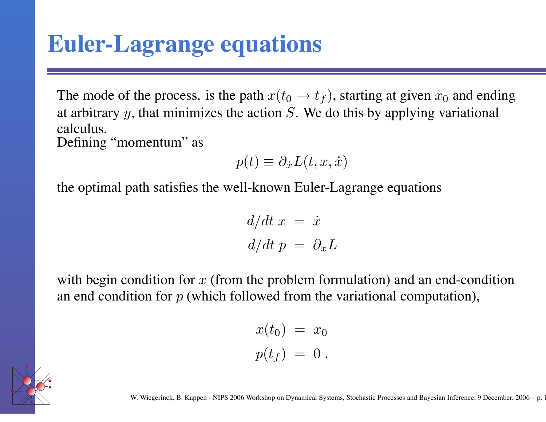#### **Euler-Lagrange equations**

The mode of the process. is the path  $x(t_0 \rightarrow t_f)$ , starting at given  $x_0$  and ending at arbitrary  $y$ , that minimizes the action  $S$ . We do this by applying variational calculus. De fining "momentum" as

$$
p(t) \equiv \partial_{\dot{x}} L(t, x, \dot{x})
$$

the optimal path satis fies the well-known Euler-Lagrange equations

$$
\frac{d}{dt} x = \dot{x}
$$

$$
\frac{d}{dt} p = \partial_x L
$$

with begin condition for  $x$  (from the problem formulation) and an end-condition an end condition for  $p$  (which followed from the variational computation),

$$
x(t_0) = x_0
$$
  

$$
p(t_f) = 0.
$$

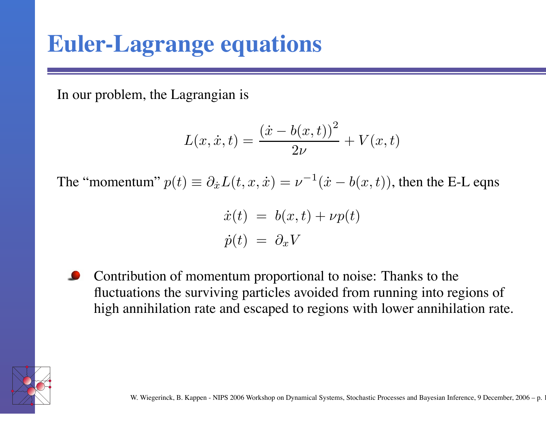#### **Euler-Lagrange equations**

In our problem, the Lagrangian is

$$
L(x, \dot{x}, t) = \frac{(\dot{x} - b(x, t))^{2}}{2\nu} + V(x, t)
$$

The "momentum"  $p(t) \equiv \partial_{\dot{x}} L(t, x, \dot{x}) = \nu^{-1}(\dot{x} - b(x, t))$ , then the E-L eqns

$$
\dot{x}(t) = b(x, t) + \nu p(t) \n\dot{p}(t) = \partial_x V
$$

Contribution of momentum proportional to noise: Thanks to the fluctuations the surviving particles avoided from running into regions of high annihilation rate and escaped to regions with lower annihilation rate.

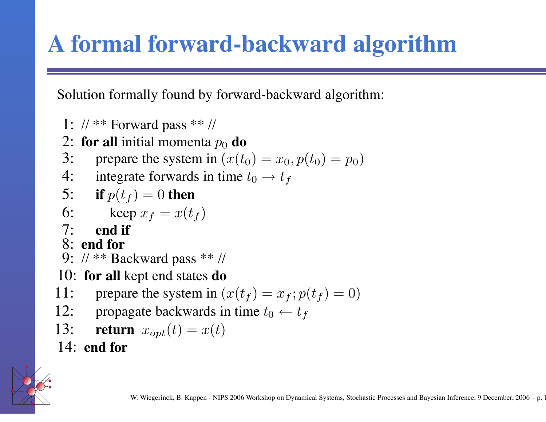# **A formal forward-backward algorithm**

Solution formally found by forward-backward algorithm:

- 1: // \*\* Forward pass \*\* //
- 2: **for all** initial momenta  $p_0$  **do**
- 3: prepare the system in  $(x(t_0) = x_0, p(t_0) = p_0)$
- 4: integrate forwards in time  $t_0 \rightarrow t_f$

5: if 
$$
p(t_f) = 0
$$
 then

$$
6: \qquad \text{keep } x_f = x(t_f)
$$

- 7: **end if**
- 8: **end fo r**
- 9: // \*\* Backward pass \*\* //
- 10: for all kept end states do
- 11: prepare the system in  $(x(t_f) = x_f; p(t_f) = 0)$
- 12: propagate backwards in time  $t_0 \leftarrow t_f$
- 13: **return**  $x_{opt}(t) = x(t)$

14: **end** for

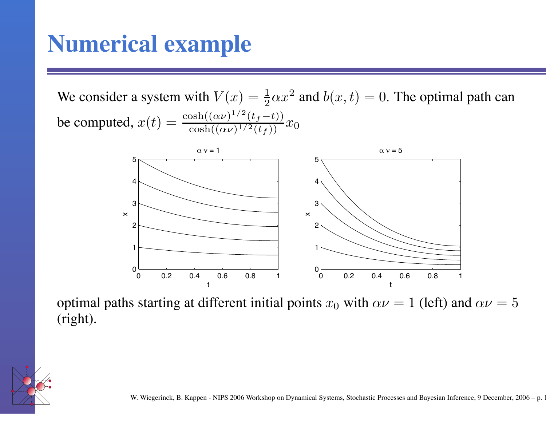#### **Numerical example**

We consider a system with  $V(x) = \frac{1}{2}$  $\frac{1}{2}\alpha x^2$  and  $b(x,t) = 0$ . The optimal path can be computed,  $x(t) = \frac{\cosh((\alpha \nu)^{1/2}(t_f-t))}{\cosh((\alpha \nu)^{1/2}(t_f))}$  $\frac{\cosh((\alpha\nu)^{1/2}(t_f))}{\cosh((\alpha\nu)^{1/2}(t_f))}x_0$ 



optimal paths starting at different initial points  $x_0$  with  $\alpha \nu = 1$  (left) and  $\alpha \nu = 5$ (right).

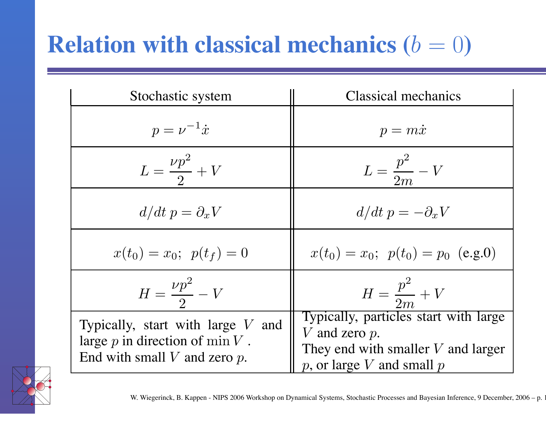# **Relation** with classical mechanics  $(b = 0)$

| Stochastic system                                                                                               | <b>Classical mechanics</b>                                                                                                          |
|-----------------------------------------------------------------------------------------------------------------|-------------------------------------------------------------------------------------------------------------------------------------|
| $p = \nu^{-1} \dot{x}$                                                                                          | $p = m\dot{x}$                                                                                                                      |
| $L=\frac{\nu p^2}{2}+V$                                                                                         | $L=\frac{p^2}{2m}-V$                                                                                                                |
| $d/dt$ $p = \partial_x V$                                                                                       | $d/dt p = -\partial_x V$                                                                                                            |
| $x(t_0) = x_0; \ \ p(t_f) = 0$                                                                                  | $x(t_0) = x_0$ ; $p(t_0) = p_0$ (e.g.0)                                                                                             |
| $H = \frac{\nu p^2}{2} - V$                                                                                     | $H = \frac{p^2}{2m} + V$                                                                                                            |
| Typically, start with large $V$ and<br>large $p$ in direction of min $V$ .<br>End with small $V$ and zero $p$ . | Typically, particles start with large<br>V and zero $p$ .<br>They end with smaller $V$ and larger<br>$p$ , or large V and small $p$ |

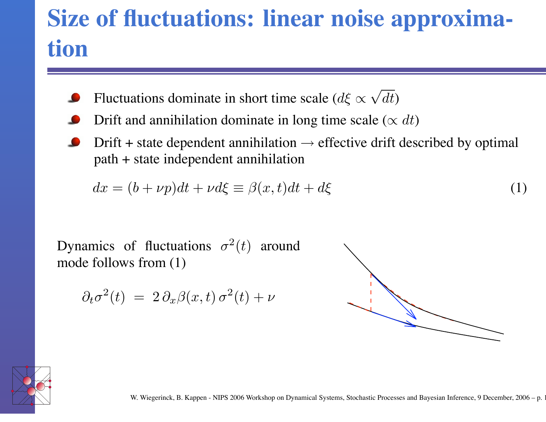# **Size of fluctuations: linear noise approximation**

- Fluctuations dominate in short time scale ( $d\xi \propto$ √  $dt)$
- Drift and annihilation dominate in long time scale ( $\propto dt$ )
- Drift + state dependent annihilation  $\rightarrow$  effective drift described by optimal path + state independent annihilation

$$
dx = (b + \nu p)dt + \nu d\xi \equiv \beta(x, t)dt + d\xi
$$
\n(1)

Dynamics of fluctuations  $\sigma^2(t)$  around mode follows from ( 1 )

$$
\partial_t \sigma^2(t) = 2 \partial_x \beta(x, t) \sigma^2(t) + \nu
$$



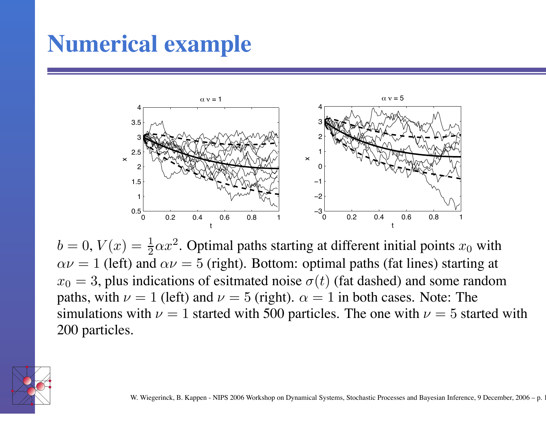#### **Numerical example**



 $b = 0, V(x) = \frac{1}{2}$  $\frac{1}{2}\alpha x^2$ . Optimal paths starting at different initial points  $x_0$  with  $\alpha \nu = 1$  (left) and  $\alpha \nu = 5$  (right). Bottom: optimal paths (fat lines) starting at  $x_0 = 3$ , plus indications of esitmated noise  $\sigma(t)$  (fat dashed) and some random paths, with  $\nu = 1$  (left) and  $\nu = 5$  (right).  $\alpha = 1$  in both cases. Note: The simulations with  $\nu = 1$  started with 500 particles. The one with  $\nu = 5$  started with 200 particles.

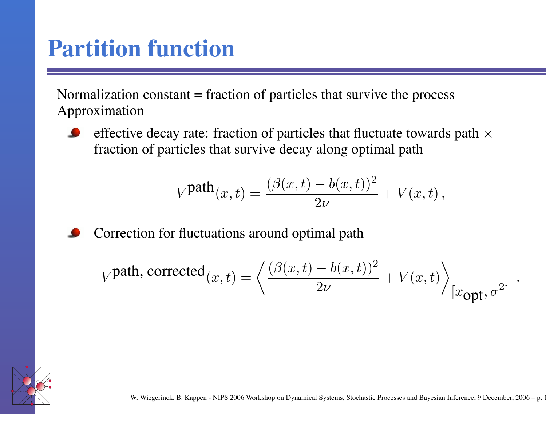#### **Partition function**

Normalization constant = fraction of particles that survive the process Approximation

effective decay rate: fraction of particles that fluctuate towards path  $\times$ fraction of particles that survi v e decay along optimal path

$$
V^{\text{path}}(x,t) = \frac{(\beta(x,t) - b(x,t))^2}{2\nu} + V(x,t),
$$



$$
V^{\text{path, corrected}}(x,t) = \left\langle \frac{(\beta(x,t) - b(x,t))^2}{2\nu} + V(x,t) \right\rangle_{[x_{\text{opt}},\sigma^2]}
$$



.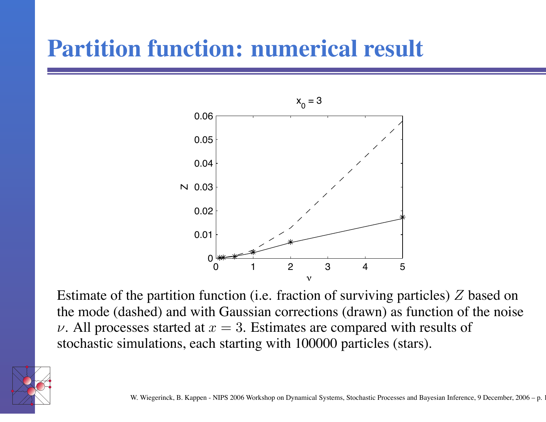## **Partition function: numerical result**



Estimate of the partition function (i.e. fraction of surviving particles) Z based on the mode (dashed) and with Gaussian corrections (drawn) as function of the noise  $\nu$ . All processes started at  $x = 3$ . Estimates are compared with results of stochastic simulations, each starting with 100000 particles (stars).

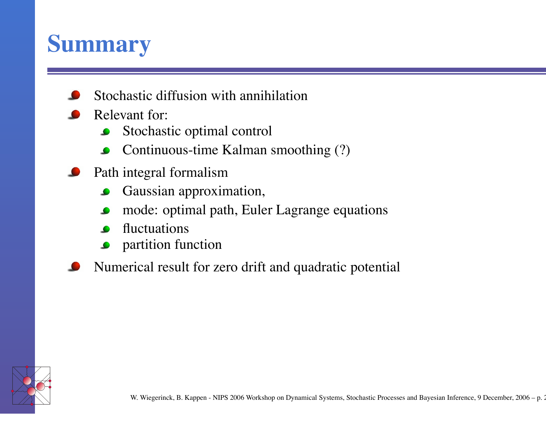### **Summary**

- Stochastic diffusion with annihilation
- Rele vant for:
	- Stochastic optimal control  $\bullet$
	- Continuous-time Kalman smoothing (?)  $\bullet$
- Path integral formalism
	- Gaussian approximation,  $\bullet$
	- mode: optimal path, Euler Lagrange equations  $\bullet$
	- fluctuations
	- partition function  $\bullet$
- Numerical result for zero drift and quadratic potential